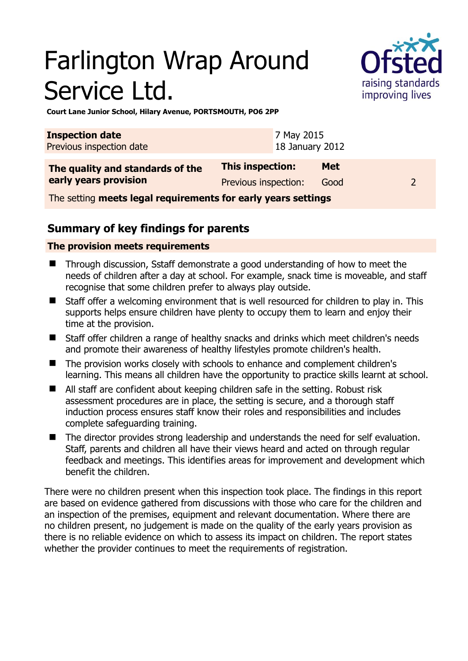# Farlington Wrap Around Service Ltd.



**Court Lane Junior School, Hilary Avenue, PORTSMOUTH, PO6 2PP** 

| <b>Inspection date</b><br>Previous inspection date            |                      | 7 May 2015<br>18 January 2012 |            |  |  |  |
|---------------------------------------------------------------|----------------------|-------------------------------|------------|--|--|--|
| The quality and standards of the<br>early years provision     | This inspection:     |                               | <b>Met</b> |  |  |  |
|                                                               | Previous inspection: |                               | Good       |  |  |  |
| The setting meets legal requirements for early years settings |                      |                               |            |  |  |  |

**Summary of key findings for parents**

#### **The provision meets requirements**

- Through discussion, Sstaff demonstrate a good understanding of how to meet the needs of children after a day at school. For example, snack time is moveable, and staff recognise that some children prefer to always play outside.
- Staff offer a welcoming environment that is well resourced for children to play in. This supports helps ensure children have plenty to occupy them to learn and enjoy their time at the provision.
- Staff offer children a range of healthy snacks and drinks which meet children's needs and promote their awareness of healthy lifestyles promote children's health.
- The provision works closely with schools to enhance and complement children's learning. This means all children have the opportunity to practice skills learnt at school.
- All staff are confident about keeping children safe in the setting. Robust risk assessment procedures are in place, the setting is secure, and a thorough staff induction process ensures staff know their roles and responsibilities and includes complete safeguarding training.
- The director provides strong leadership and understands the need for self evaluation. Staff, parents and children all have their views heard and acted on through regular feedback and meetings. This identifies areas for improvement and development which benefit the children.

There were no children present when this inspection took place. The findings in this report are based on evidence gathered from discussions with those who care for the children and an inspection of the premises, equipment and relevant documentation. Where there are no children present, no judgement is made on the quality of the early years provision as there is no reliable evidence on which to assess its impact on children. The report states whether the provider continues to meet the requirements of registration.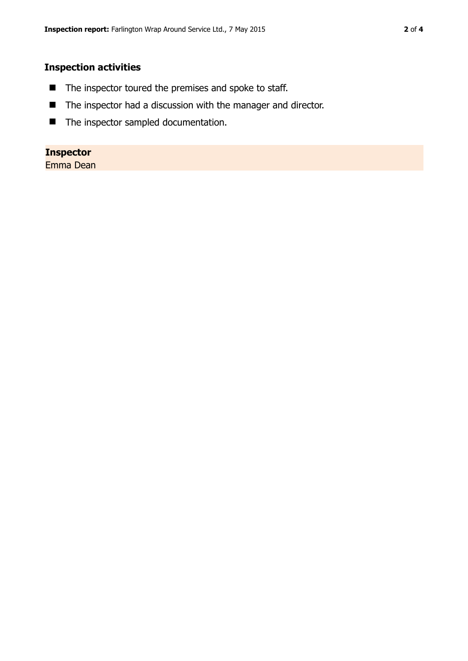#### **Inspection activities**

- The inspector toured the premises and spoke to staff.
- The inspector had a discussion with the manager and director.
- **n** The inspector sampled documentation.

### **Inspector**

Emma Dean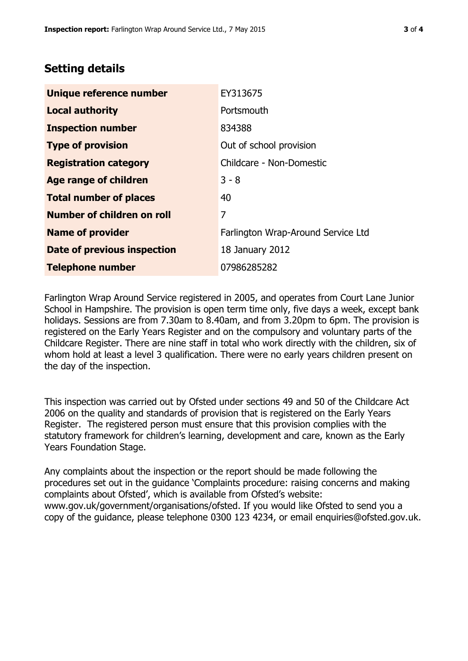## **Setting details**

| Unique reference number       | EY313675                           |  |
|-------------------------------|------------------------------------|--|
| <b>Local authority</b>        | Portsmouth                         |  |
| <b>Inspection number</b>      | 834388                             |  |
| <b>Type of provision</b>      | Out of school provision            |  |
| <b>Registration category</b>  | Childcare - Non-Domestic           |  |
| <b>Age range of children</b>  | $3 - 8$                            |  |
| <b>Total number of places</b> | 40                                 |  |
| Number of children on roll    | 7                                  |  |
| <b>Name of provider</b>       | Farlington Wrap-Around Service Ltd |  |
| Date of previous inspection   | 18 January 2012                    |  |
| <b>Telephone number</b>       | 07986285282                        |  |

Farlington Wrap Around Service registered in 2005, and operates from Court Lane Junior School in Hampshire. The provision is open term time only, five days a week, except bank holidays. Sessions are from 7.30am to 8.40am, and from 3.20pm to 6pm. The provision is registered on the Early Years Register and on the compulsory and voluntary parts of the Childcare Register. There are nine staff in total who work directly with the children, six of whom hold at least a level 3 qualification. There were no early years children present on the day of the inspection.

This inspection was carried out by Ofsted under sections 49 and 50 of the Childcare Act 2006 on the quality and standards of provision that is registered on the Early Years Register. The registered person must ensure that this provision complies with the statutory framework for children's learning, development and care, known as the Early Years Foundation Stage.

Any complaints about the inspection or the report should be made following the procedures set out in the guidance 'Complaints procedure: raising concerns and making complaints about Ofsted', which is available from Ofsted's website: www.gov.uk/government/organisations/ofsted. If you would like Ofsted to send you a copy of the guidance, please telephone 0300 123 4234, or email enquiries@ofsted.gov.uk.